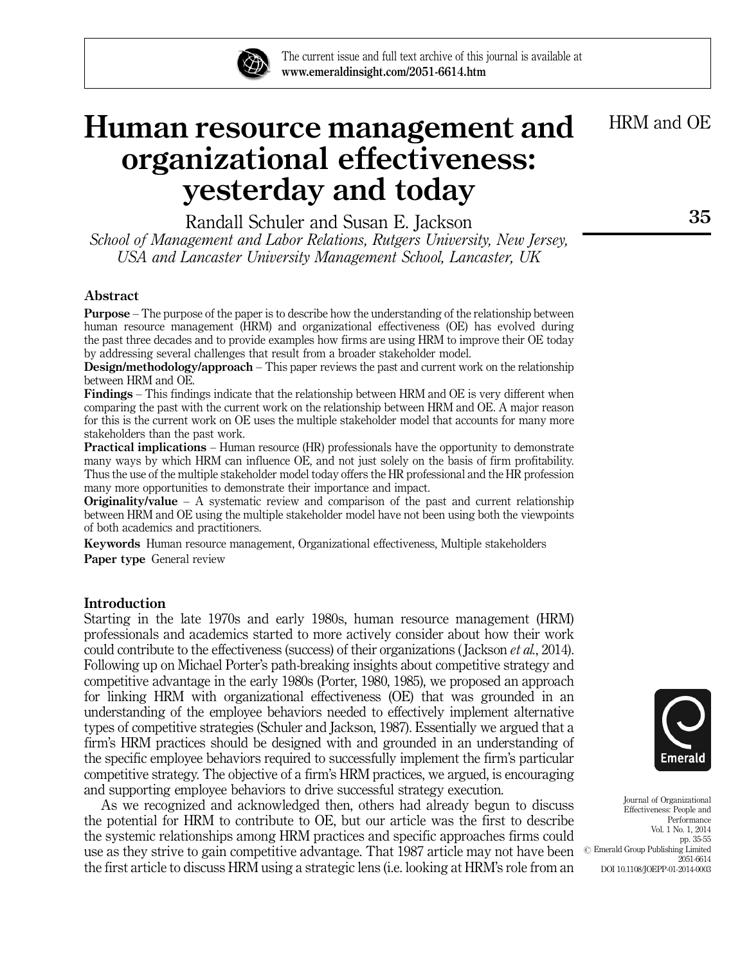

The current issue and full text archive of this journal is available at www.emeraldinsight.com/2051-6614.htm

# Human resource management and organizational effectiveness: yesterday and today

Randall Schuler and Susan E. Jackson School of Management and Labor Relations, Rutgers University, New Jersey, USA and Lancaster University Management School, Lancaster, UK

# Abstract

Purpose – The purpose of the paper is to describe how the understanding of the relationship between human resource management (HRM) and organizational effectiveness (OE) has evolved during the past three decades and to provide examples how firms are using HRM to improve their OE today by addressing several challenges that result from a broader stakeholder model.

Design/methodology/approach – This paper reviews the past and current work on the relationship between HRM and OE.

Findings – This findings indicate that the relationship between HRM and OE is very different when comparing the past with the current work on the relationship between HRM and OE. A major reason for this is the current work on OE uses the multiple stakeholder model that accounts for many more stakeholders than the past work.

**Practical implications** – Human resource (HR) professionals have the opportunity to demonstrate many ways by which HRM can influence OE, and not just solely on the basis of firm profitability. Thus the use of the multiple stakeholder model today offers the HR professional and the HR profession many more opportunities to demonstrate their importance and impact.

**Originality/value** – A systematic review and comparison of the past and current relationship between HRM and OE using the multiple stakeholder model have not been using both the viewpoints of both academics and practitioners.

Keywords Human resource management, Organizational effectiveness, Multiple stakeholders Paper type General review

### Introduction

Starting in the late 1970s and early 1980s, human resource management (HRM) professionals and academics started to more actively consider about how their work could contribute to the effectiveness (success) of their organizations (Jackson *et al.*, 2014). Following up on Michael Porter's path-breaking insights about competitive strategy and competitive advantage in the early 1980s (Porter, 1980, 1985), we proposed an approach for linking HRM with organizational effectiveness (OE) that was grounded in an understanding of the employee behaviors needed to effectively implement alternative types of competitive strategies (Schuler and Jackson, 1987). Essentially we argued that a firm's HRM practices should be designed with and grounded in an understanding of the specific employee behaviors required to successfully implement the firm's particular competitive strategy. The objective of a firm's HRM practices, we argued, is encouraging and supporting employee behaviors to drive successful strategy execution.

As we recognized and acknowledged then, others had already begun to discuss the potential for HRM to contribute to OE, but our article was the first to describe the systemic relationships among HRM practices and specific approaches firms could use as they strive to gain competitive advantage. That 1987 article may not have been the first article to discuss HRM using a strategic lens (i.e. looking at HRM's role from an



Journal of Organizational Effectiveness: People and Performance Vol. 1 No. 1, 2014 pp. 35-55  $\copyright$  Emerald Group Publishing Limited 2051-6614 DOI 10.1108/JOEPP-01-2014-0003

HRM and OE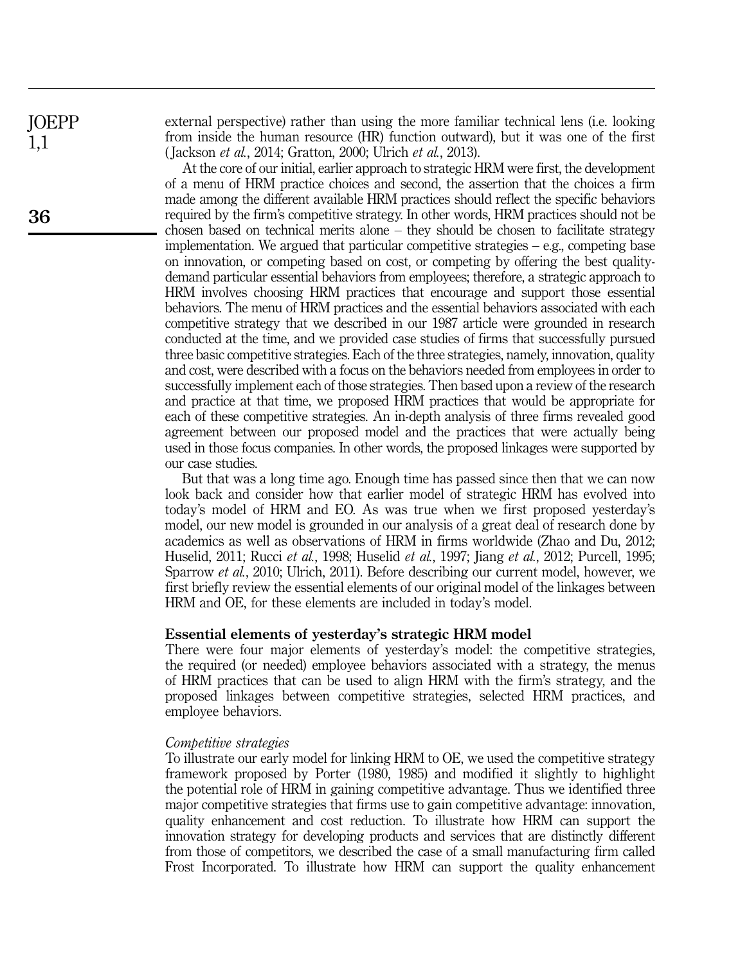**JOEPP** 1,1

external perspective) rather than using the more familiar technical lens (i.e. looking from inside the human resource (HR) function outward), but it was one of the first ( Jackson et al., 2014; Gratton, 2000; Ulrich et al., 2013).

At the core of our initial, earlier approach to strategic HRM were first, the development of a menu of HRM practice choices and second, the assertion that the choices a firm made among the different available HRM practices should reflect the specific behaviors required by the firm's competitive strategy. In other words, HRM practices should not be chosen based on technical merits alone – they should be chosen to facilitate strategy implementation. We argued that particular competitive strategies – e.g., competing base on innovation, or competing based on cost, or competing by offering the best qualitydemand particular essential behaviors from employees; therefore, a strategic approach to HRM involves choosing HRM practices that encourage and support those essential behaviors. The menu of HRM practices and the essential behaviors associated with each competitive strategy that we described in our 1987 article were grounded in research conducted at the time, and we provided case studies of firms that successfully pursued three basic competitive strategies. Each of the three strategies, namely, innovation, quality and cost, were described with a focus on the behaviors needed from employees in order to successfully implement each of those strategies. Then based upon a review of the research and practice at that time, we proposed HRM practices that would be appropriate for each of these competitive strategies. An in-depth analysis of three firms revealed good agreement between our proposed model and the practices that were actually being used in those focus companies. In other words, the proposed linkages were supported by our case studies.

But that was a long time ago. Enough time has passed since then that we can now look back and consider how that earlier model of strategic HRM has evolved into today's model of HRM and EO. As was true when we first proposed yesterday's model, our new model is grounded in our analysis of a great deal of research done by academics as well as observations of HRM in firms worldwide (Zhao and Du, 2012; Huselid, 2011; Rucci et al., 1998; Huselid et al., 1997; Jiang et al., 2012; Purcell, 1995; Sparrow et al., 2010; Ulrich, 2011). Before describing our current model, however, we first briefly review the essential elements of our original model of the linkages between HRM and OE, for these elements are included in today's model.

#### Essential elements of yesterday's strategic HRM model

There were four major elements of yesterday's model: the competitive strategies, the required (or needed) employee behaviors associated with a strategy, the menus of HRM practices that can be used to align HRM with the firm's strategy, and the proposed linkages between competitive strategies, selected HRM practices, and employee behaviors.

#### Competitive strategies

To illustrate our early model for linking HRM to OE, we used the competitive strategy framework proposed by Porter (1980, 1985) and modified it slightly to highlight the potential role of HRM in gaining competitive advantage. Thus we identified three major competitive strategies that firms use to gain competitive advantage: innovation, quality enhancement and cost reduction. To illustrate how HRM can support the innovation strategy for developing products and services that are distinctly different from those of competitors, we described the case of a small manufacturing firm called Frost Incorporated. To illustrate how HRM can support the quality enhancement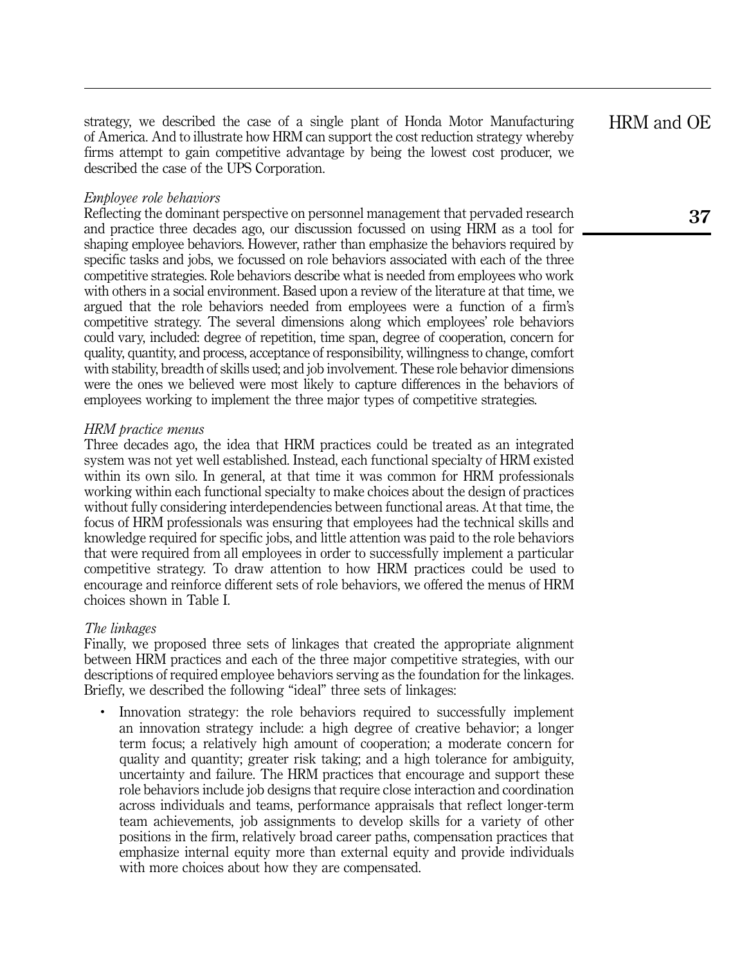strategy, we described the case of a single plant of Honda Motor Manufacturing of America. And to illustrate how HRM can support the cost reduction strategy whereby firms attempt to gain competitive advantage by being the lowest cost producer, we described the case of the UPS Corporation.

# Employee role behaviors

Reflecting the dominant perspective on personnel management that pervaded research and practice three decades ago, our discussion focussed on using HRM as a tool for shaping employee behaviors. However, rather than emphasize the behaviors required by specific tasks and jobs, we focussed on role behaviors associated with each of the three competitive strategies. Role behaviors describe what is needed from employees who work with others in a social environment. Based upon a review of the literature at that time, we argued that the role behaviors needed from employees were a function of a firm's competitive strategy. The several dimensions along which employees' role behaviors could vary, included: degree of repetition, time span, degree of cooperation, concern for quality, quantity, and process, acceptance of responsibility, willingness to change, comfort with stability, breadth of skills used; and job involvement. These role behavior dimensions were the ones we believed were most likely to capture differences in the behaviors of employees working to implement the three major types of competitive strategies.

# HRM practice menus

Three decades ago, the idea that HRM practices could be treated as an integrated system was not yet well established. Instead, each functional specialty of HRM existed within its own silo. In general, at that time it was common for HRM professionals working within each functional specialty to make choices about the design of practices without fully considering interdependencies between functional areas. At that time, the focus of HRM professionals was ensuring that employees had the technical skills and knowledge required for specific jobs, and little attention was paid to the role behaviors that were required from all employees in order to successfully implement a particular competitive strategy. To draw attention to how HRM practices could be used to encourage and reinforce different sets of role behaviors, we offered the menus of HRM choices shown in Table I.

#### The linkages

Finally, we proposed three sets of linkages that created the appropriate alignment between HRM practices and each of the three major competitive strategies, with our descriptions of required employee behaviors serving as the foundation for the linkages. Briefly, we described the following "ideal" three sets of linkages:

. Innovation strategy: the role behaviors required to successfully implement an innovation strategy include: a high degree of creative behavior; a longer term focus; a relatively high amount of cooperation; a moderate concern for quality and quantity; greater risk taking; and a high tolerance for ambiguity, uncertainty and failure. The HRM practices that encourage and support these role behaviors include job designs that require close interaction and coordination across individuals and teams, performance appraisals that reflect longer-term team achievements, job assignments to develop skills for a variety of other positions in the firm, relatively broad career paths, compensation practices that emphasize internal equity more than external equity and provide individuals with more choices about how they are compensated.

37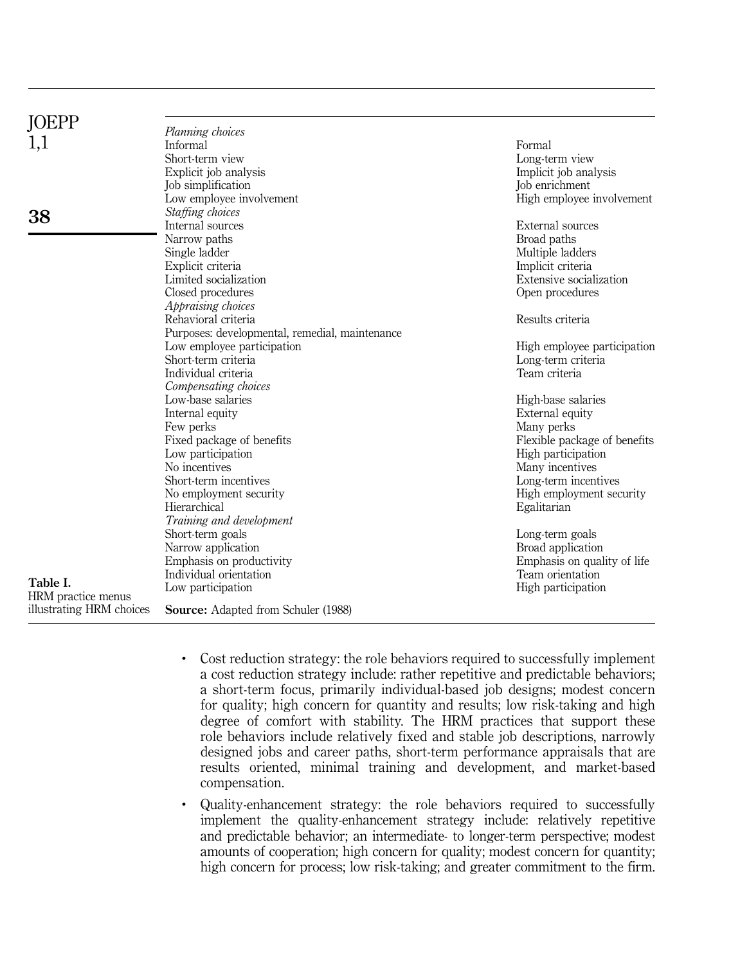| <b>JOEPP</b>             | Planning choices                               |                              |
|--------------------------|------------------------------------------------|------------------------------|
| 1,1                      | Informal                                       | Formal                       |
|                          | Short-term view                                | Long-term view               |
|                          | Explicit job analysis                          | Implicit job analysis        |
|                          | Job simplification                             | Job enrichment               |
|                          | Low employee involvement                       | High employee involvement    |
|                          | Staffing choices                               |                              |
| 38                       | Internal sources                               | External sources             |
|                          | Narrow paths                                   | Broad paths                  |
|                          |                                                |                              |
|                          | Single ladder                                  | Multiple ladders             |
|                          | Explicit criteria                              | Implicit criteria            |
|                          | Limited socialization                          | Extensive socialization      |
|                          | Closed procedures                              | Open procedures              |
|                          | <i>Appraising choices</i>                      |                              |
|                          | Rehavioral criteria                            | Results criteria             |
|                          | Purposes: developmental, remedial, maintenance |                              |
|                          | Low employee participation                     | High employee participation  |
|                          | Short-term criteria                            | Long-term criteria           |
|                          | Individual criteria                            | Team criteria                |
|                          | Compensating choices                           |                              |
|                          | Low-base salaries                              | High-base salaries           |
|                          | Internal equity                                | External equity              |
|                          | Few perks                                      | Many perks                   |
|                          | Fixed package of benefits                      | Flexible package of benefits |
|                          | Low participation                              | High participation           |
|                          | No incentives                                  | Many incentives              |
|                          | Short-term incentives                          | Long-term incentives         |
|                          | No employment security                         | High employment security     |
|                          | Hierarchical                                   | Egalitarian                  |
|                          | <i>Training and development</i>                |                              |
|                          | Short-term goals                               | Long-term goals              |
|                          | Narrow application                             | Broad application            |
|                          | Emphasis on productivity                       | Emphasis on quality of life. |
|                          | Individual orientation                         | Team orientation             |
| Table I.                 |                                                |                              |
| HRM practice menus       | Low participation                              | High participation           |
| illustrating HRM choices | Source: Adapted from Schuler (1988)            |                              |

- . Cost reduction strategy: the role behaviors required to successfully implement a cost reduction strategy include: rather repetitive and predictable behaviors; a short-term focus, primarily individual-based job designs; modest concern for quality; high concern for quantity and results; low risk-taking and high degree of comfort with stability. The HRM practices that support these role behaviors include relatively fixed and stable job descriptions, narrowly designed jobs and career paths, short-term performance appraisals that are results oriented, minimal training and development, and market-based compensation.
- . Quality-enhancement strategy: the role behaviors required to successfully implement the quality-enhancement strategy include: relatively repetitive and predictable behavior; an intermediate- to longer-term perspective; modest amounts of cooperation; high concern for quality; modest concern for quantity; high concern for process; low risk-taking; and greater commitment to the firm.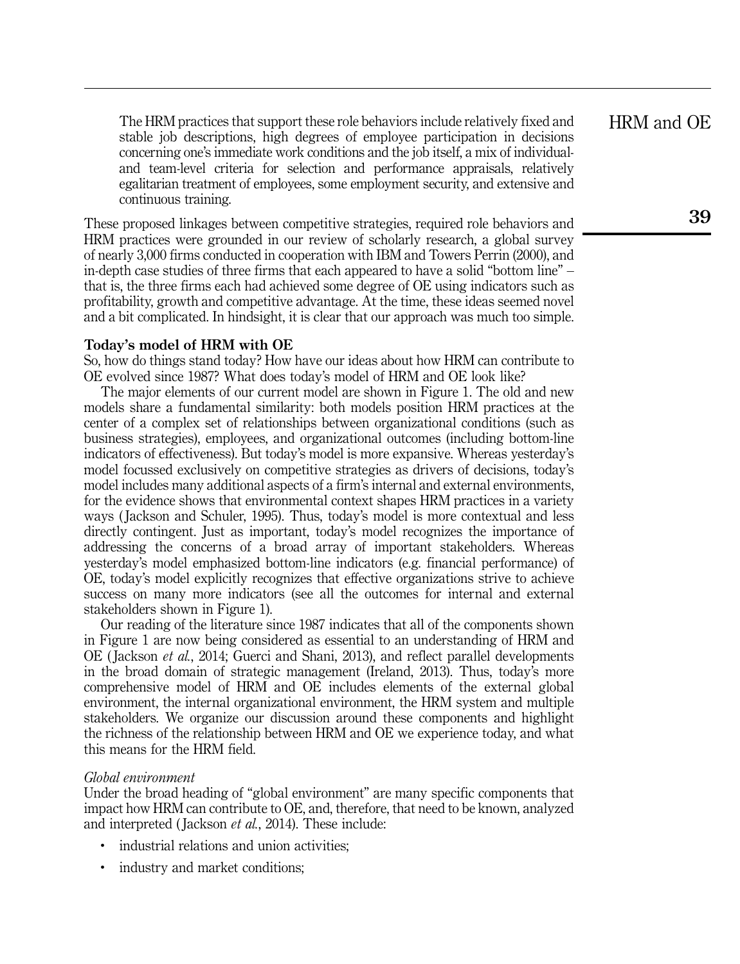The HRM practices that support these role behaviors include relatively fixed and stable job descriptions, high degrees of employee participation in decisions concerning one's immediate work conditions and the job itself, a mix of individualand team-level criteria for selection and performance appraisals, relatively egalitarian treatment of employees, some employment security, and extensive and continuous training.

These proposed linkages between competitive strategies, required role behaviors and HRM practices were grounded in our review of scholarly research, a global survey of nearly 3,000 firms conducted in cooperation with IBM and Towers Perrin (2000), and in-depth case studies of three firms that each appeared to have a solid "bottom line" – that is, the three firms each had achieved some degree of OE using indicators such as profitability, growth and competitive advantage. At the time, these ideas seemed novel and a bit complicated. In hindsight, it is clear that our approach was much too simple.

#### Today's model of HRM with OE

So, how do things stand today? How have our ideas about how HRM can contribute to OE evolved since 1987? What does today's model of HRM and OE look like?

The major elements of our current model are shown in Figure 1. The old and new models share a fundamental similarity: both models position HRM practices at the center of a complex set of relationships between organizational conditions (such as business strategies), employees, and organizational outcomes (including bottom-line indicators of effectiveness). But today's model is more expansive. Whereas yesterday's model focussed exclusively on competitive strategies as drivers of decisions, today's model includes many additional aspects of a firm's internal and external environments, for the evidence shows that environmental context shapes HRM practices in a variety ways ( Jackson and Schuler, 1995). Thus, today's model is more contextual and less directly contingent. Just as important, today's model recognizes the importance of addressing the concerns of a broad array of important stakeholders. Whereas yesterday's model emphasized bottom-line indicators (e.g. financial performance) of OE, today's model explicitly recognizes that effective organizations strive to achieve success on many more indicators (see all the outcomes for internal and external stakeholders shown in Figure 1).

Our reading of the literature since 1987 indicates that all of the components shown in Figure 1 are now being considered as essential to an understanding of HRM and OE (Jackson et al., 2014; Guerci and Shani, 2013), and reflect parallel developments in the broad domain of strategic management (Ireland, 2013). Thus, today's more comprehensive model of HRM and OE includes elements of the external global environment, the internal organizational environment, the HRM system and multiple stakeholders. We organize our discussion around these components and highlight the richness of the relationship between HRM and OE we experience today, and what this means for the HRM field.

#### Global environment

Under the broad heading of "global environment" are many specific components that impact how HRM can contribute to OE, and, therefore, that need to be known, analyzed and interpreted (Jackson *et al.*, 2014). These include:

- . industrial relations and union activities;
- . industry and market conditions;

HRM and OE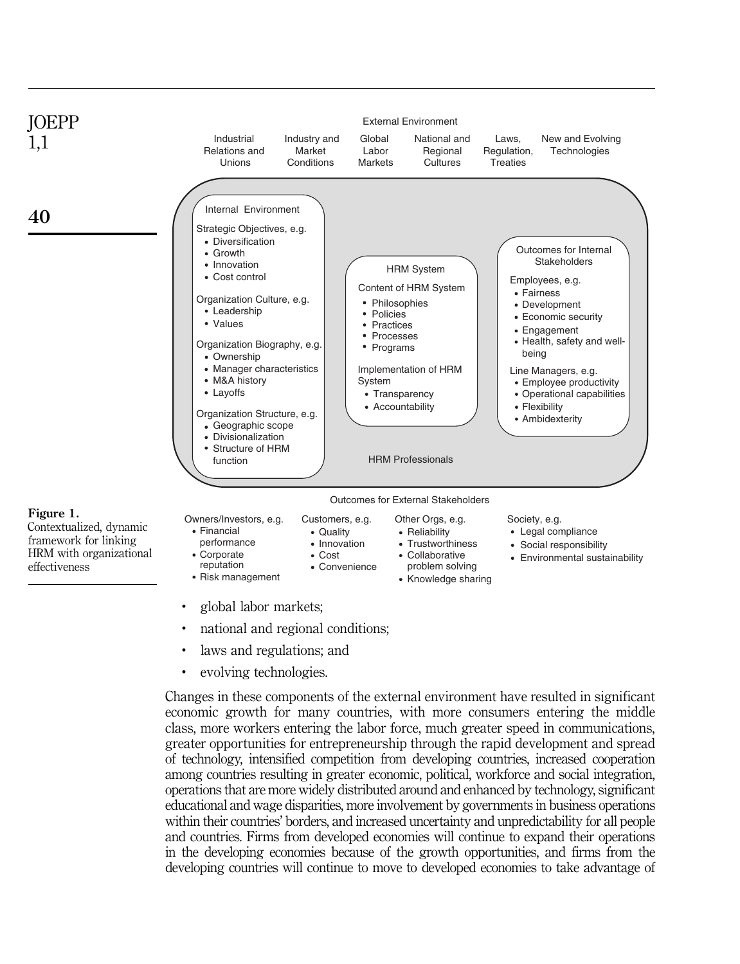

Quality • Innovation Cost Convenience

Contextualized, dynamic framework for linking HRM with organizational effectiveness

- Financial performance Corporate reputation
	- Risk management
	- . global labor markets;
- . national and regional conditions;
- . laws and regulations; and
- . evolving technologies.

Changes in these components of the external environment have resulted in significant economic growth for many countries, with more consumers entering the middle class, more workers entering the labor force, much greater speed in communications, greater opportunities for entrepreneurship through the rapid development and spread of technology, intensified competition from developing countries, increased cooperation among countries resulting in greater economic, political, workforce and social integration, operations that are more widely distributed around and enhanced by technology, significant educational and wage disparities, more involvement by governments in business operations within their countries' borders, and increased uncertainty and unpredictability for all people and countries. Firms from developed economies will continue to expand their operations in the developing economies because of the growth opportunities, and firms from the developing countries will continue to move to developed economies to take advantage of

• Reliability • Trustworthiness Collaborative problem solving • Knowledge sharing Legal compliance Social responsibility Environmental sustainability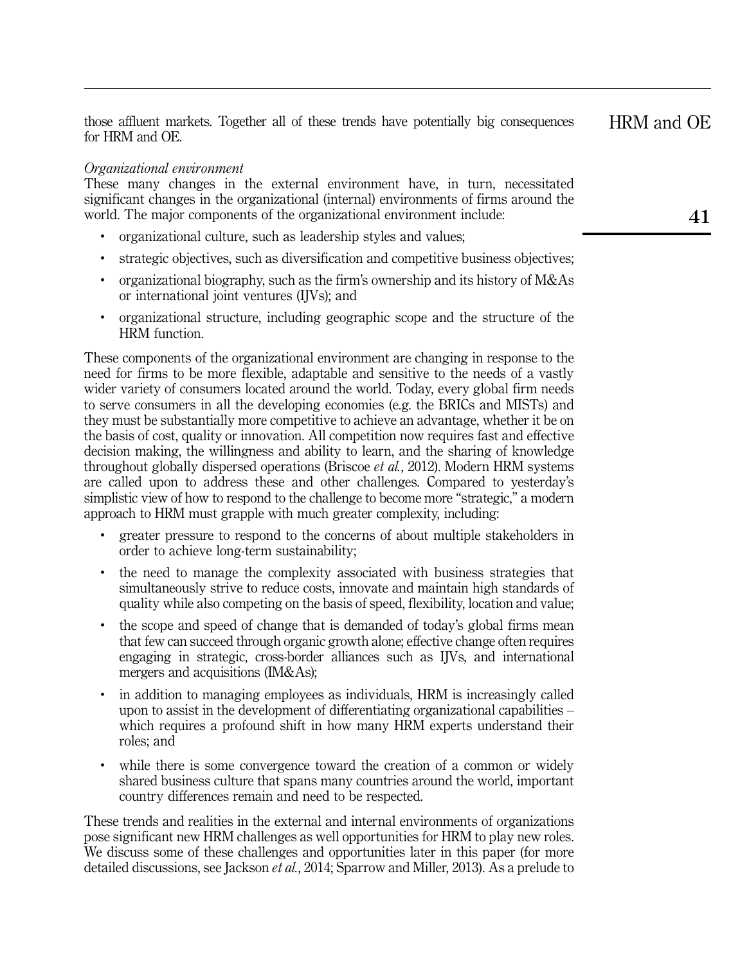those affluent markets. Together all of these trends have potentially big consequences for HRM and OE. HRM and OE

# Organizational environment

These many changes in the external environment have, in turn, necessitated significant changes in the organizational (internal) environments of firms around the world. The major components of the organizational environment include:

- . organizational culture, such as leadership styles and values;
- . strategic objectives, such as diversification and competitive business objectives;
- . organizational biography, such as the firm's ownership and its history of M&As or international joint ventures (IJVs); and
- . organizational structure, including geographic scope and the structure of the HRM function.

These components of the organizational environment are changing in response to the need for firms to be more flexible, adaptable and sensitive to the needs of a vastly wider variety of consumers located around the world. Today, every global firm needs to serve consumers in all the developing economies (e.g. the BRICs and MISTs) and they must be substantially more competitive to achieve an advantage, whether it be on the basis of cost, quality or innovation. All competition now requires fast and effective decision making, the willingness and ability to learn, and the sharing of knowledge throughout globally dispersed operations (Briscoe *et al.*, 2012). Modern HRM systems are called upon to address these and other challenges. Compared to yesterday's simplistic view of how to respond to the challenge to become more "strategic," a modern approach to HRM must grapple with much greater complexity, including:

- . greater pressure to respond to the concerns of about multiple stakeholders in order to achieve long-term sustainability;
- . the need to manage the complexity associated with business strategies that simultaneously strive to reduce costs, innovate and maintain high standards of quality while also competing on the basis of speed, flexibility, location and value;
- . the scope and speed of change that is demanded of today's global firms mean that few can succeed through organic growth alone; effective change often requires engaging in strategic, cross-border alliances such as IJVs, and international mergers and acquisitions (IM&As);
- . in addition to managing employees as individuals, HRM is increasingly called upon to assist in the development of differentiating organizational capabilities – which requires a profound shift in how many HRM experts understand their roles; and
- . while there is some convergence toward the creation of a common or widely shared business culture that spans many countries around the world, important country differences remain and need to be respected.

These trends and realities in the external and internal environments of organizations pose significant new HRM challenges as well opportunities for HRM to play new roles. We discuss some of these challenges and opportunities later in this paper (for more detailed discussions, see Jackson et al., 2014; Sparrow and Miller, 2013). As a prelude to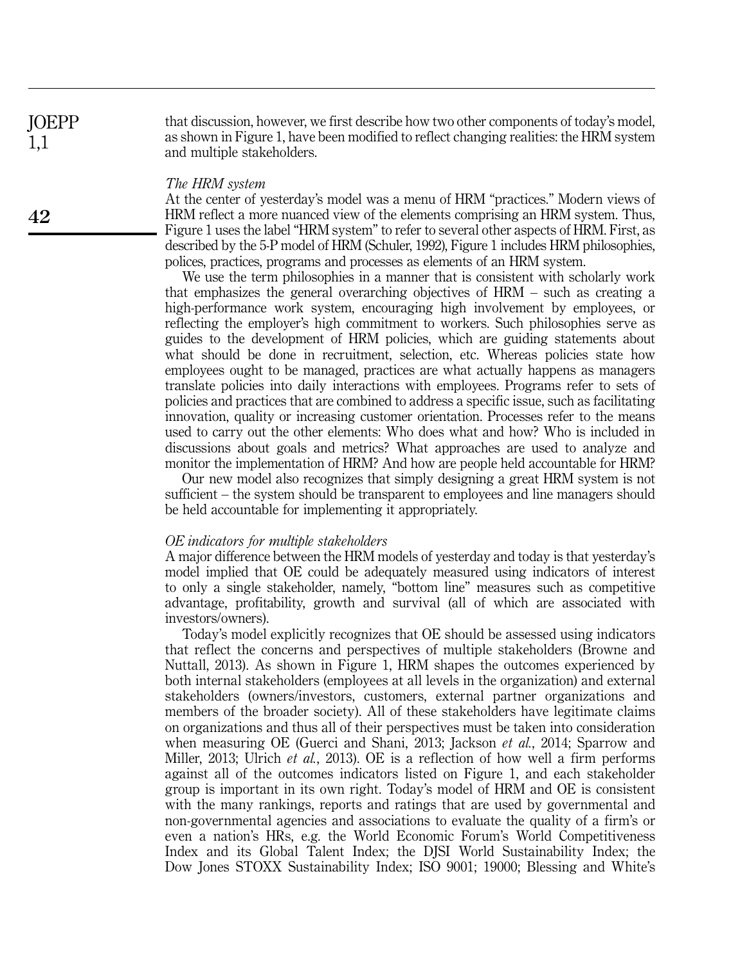that discussion, however, we first describe how two other components of today's model, as shown in Figure 1, have been modified to reflect changing realities: the HRM system and multiple stakeholders.

#### The HRM system

At the center of yesterday's model was a menu of HRM "practices." Modern views of HRM reflect a more nuanced view of the elements comprising an HRM system. Thus, Figure 1 uses the label "HRM system" to refer to several other aspects of HRM. First, as described by the 5-P model of HRM (Schuler, 1992), Figure 1 includes HRM philosophies, polices, practices, programs and processes as elements of an HRM system.

We use the term philosophies in a manner that is consistent with scholarly work that emphasizes the general overarching objectives of HRM – such as creating a high-performance work system, encouraging high involvement by employees, or reflecting the employer's high commitment to workers. Such philosophies serve as guides to the development of HRM policies, which are guiding statements about what should be done in recruitment, selection, etc. Whereas policies state how employees ought to be managed, practices are what actually happens as managers translate policies into daily interactions with employees. Programs refer to sets of policies and practices that are combined to address a specific issue, such as facilitating innovation, quality or increasing customer orientation. Processes refer to the means used to carry out the other elements: Who does what and how? Who is included in discussions about goals and metrics? What approaches are used to analyze and monitor the implementation of HRM? And how are people held accountable for HRM?

Our new model also recognizes that simply designing a great HRM system is not sufficient – the system should be transparent to employees and line managers should be held accountable for implementing it appropriately.

# OE indicators for multiple stakeholders

A major difference between the HRM models of yesterday and today is that yesterday's model implied that OE could be adequately measured using indicators of interest to only a single stakeholder, namely, "bottom line" measures such as competitive advantage, profitability, growth and survival (all of which are associated with investors/owners).

Today's model explicitly recognizes that OE should be assessed using indicators that reflect the concerns and perspectives of multiple stakeholders (Browne and Nuttall, 2013). As shown in Figure 1, HRM shapes the outcomes experienced by both internal stakeholders (employees at all levels in the organization) and external stakeholders (owners/investors, customers, external partner organizations and members of the broader society). All of these stakeholders have legitimate claims on organizations and thus all of their perspectives must be taken into consideration when measuring OE (Guerci and Shani, 2013; Jackson *et al.*, 2014; Sparrow and Miller, 2013; Ulrich et al., 2013). OE is a reflection of how well a firm performs against all of the outcomes indicators listed on Figure 1, and each stakeholder group is important in its own right. Today's model of HRM and OE is consistent with the many rankings, reports and ratings that are used by governmental and non-governmental agencies and associations to evaluate the quality of a firm's or even a nation's HRs, e.g. the World Economic Forum's World Competitiveness Index and its Global Talent Index; the DJSI World Sustainability Index; the Dow Jones STOXX Sustainability Index; ISO 9001; 19000; Blessing and White's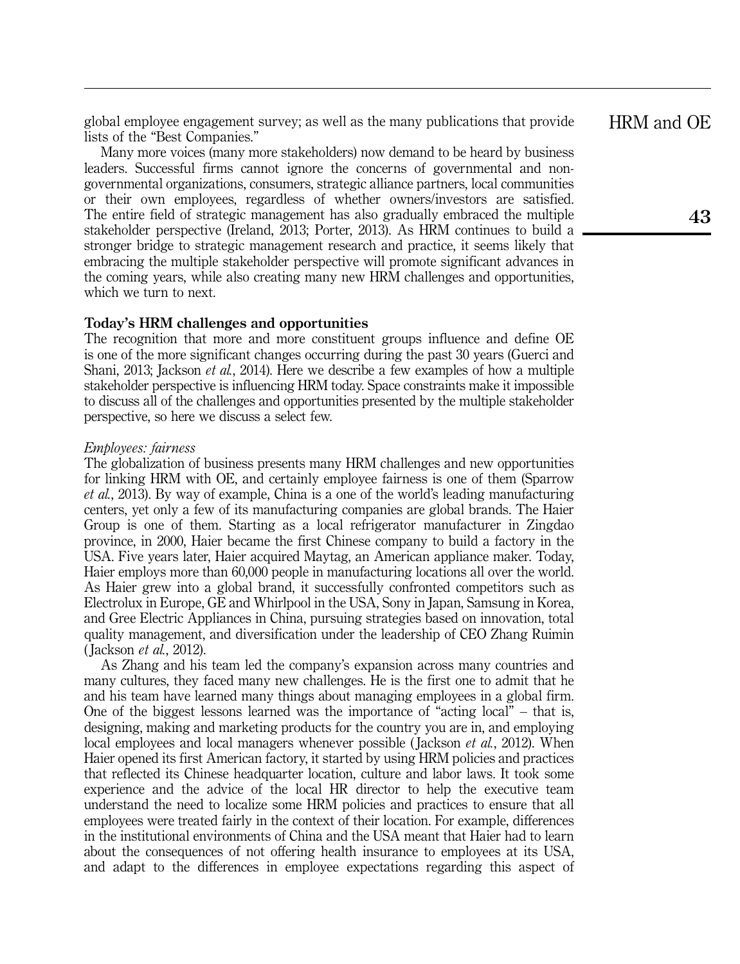global employee engagement survey; as well as the many publications that provide lists of the "Best Companies."

Many more voices (many more stakeholders) now demand to be heard by business leaders. Successful firms cannot ignore the concerns of governmental and nongovernmental organizations, consumers, strategic alliance partners, local communities or their own employees, regardless of whether owners/investors are satisfied. The entire field of strategic management has also gradually embraced the multiple stakeholder perspective (Ireland, 2013; Porter, 2013). As HRM continues to build a stronger bridge to strategic management research and practice, it seems likely that embracing the multiple stakeholder perspective will promote significant advances in the coming years, while also creating many new HRM challenges and opportunities, which we turn to next.

# Today's HRM challenges and opportunities

The recognition that more and more constituent groups influence and define OE is one of the more significant changes occurring during the past 30 years (Guerci and Shani, 2013; Jackson *et al.*, 2014). Here we describe a few examples of how a multiple stakeholder perspective is influencing HRM today. Space constraints make it impossible to discuss all of the challenges and opportunities presented by the multiple stakeholder perspective, so here we discuss a select few.

### Employees: fairness

The globalization of business presents many HRM challenges and new opportunities for linking HRM with OE, and certainly employee fairness is one of them (Sparrow et al., 2013). By way of example, China is a one of the world's leading manufacturing centers, yet only a few of its manufacturing companies are global brands. The Haier Group is one of them. Starting as a local refrigerator manufacturer in Zingdao province, in 2000, Haier became the first Chinese company to build a factory in the USA. Five years later, Haier acquired Maytag, an American appliance maker. Today, Haier employs more than 60,000 people in manufacturing locations all over the world. As Haier grew into a global brand, it successfully confronted competitors such as Electrolux in Europe, GE and Whirlpool in the USA, Sony in Japan, Samsung in Korea, and Gree Electric Appliances in China, pursuing strategies based on innovation, total quality management, and diversification under the leadership of CEO Zhang Ruimin ( Jackson et al., 2012).

As Zhang and his team led the company's expansion across many countries and many cultures, they faced many new challenges. He is the first one to admit that he and his team have learned many things about managing employees in a global firm. One of the biggest lessons learned was the importance of "acting local" – that is, designing, making and marketing products for the country you are in, and employing local employees and local managers whenever possible (Jackson *et al.*, 2012). When Haier opened its first American factory, it started by using HRM policies and practices that reflected its Chinese headquarter location, culture and labor laws. It took some experience and the advice of the local HR director to help the executive team understand the need to localize some HRM policies and practices to ensure that all employees were treated fairly in the context of their location. For example, differences in the institutional environments of China and the USA meant that Haier had to learn about the consequences of not offering health insurance to employees at its USA, and adapt to the differences in employee expectations regarding this aspect of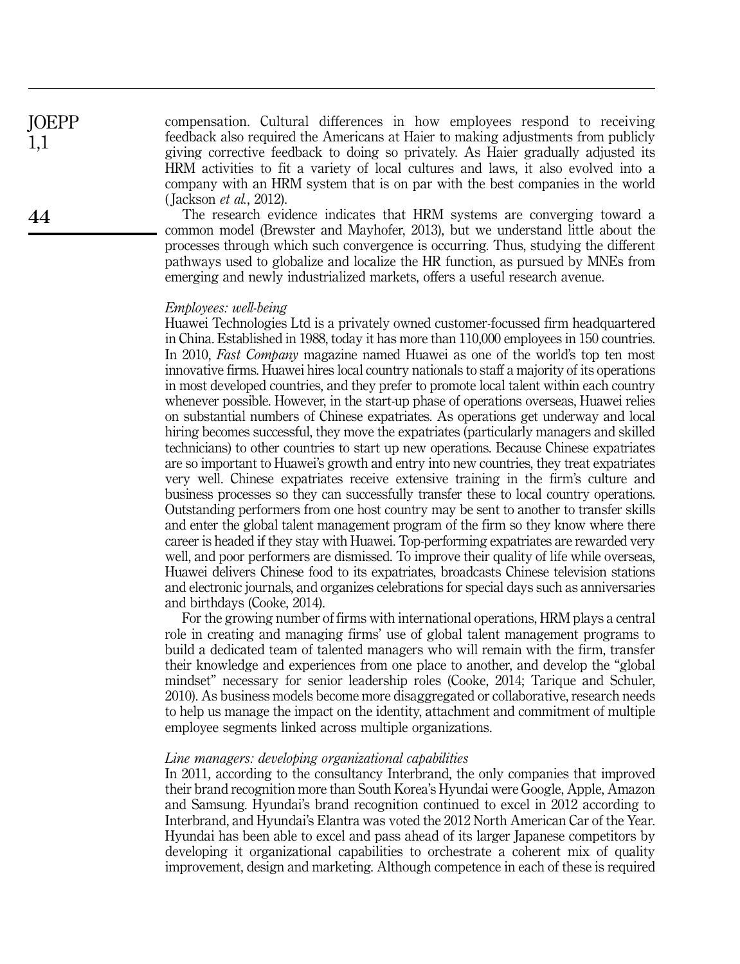compensation. Cultural differences in how employees respond to receiving feedback also required the Americans at Haier to making adjustments from publicly giving corrective feedback to doing so privately. As Haier gradually adjusted its HRM activities to fit a variety of local cultures and laws, it also evolved into a company with an HRM system that is on par with the best companies in the world ( Jackson et al., 2012).

The research evidence indicates that HRM systems are converging toward a common model (Brewster and Mayhofer, 2013), but we understand little about the processes through which such convergence is occurring. Thus, studying the different pathways used to globalize and localize the HR function, as pursued by MNEs from emerging and newly industrialized markets, offers a useful research avenue.

#### Employees: well-being

Huawei Technologies Ltd is a privately owned customer-focussed firm headquartered in China. Established in 1988, today it has more than 110,000 employees in 150 countries. In 2010, Fast Company magazine named Huawei as one of the world's top ten most innovative firms. Huawei hires local country nationals to staff a majority of its operations in most developed countries, and they prefer to promote local talent within each country whenever possible. However, in the start-up phase of operations overseas, Huawei relies on substantial numbers of Chinese expatriates. As operations get underway and local hiring becomes successful, they move the expatriates (particularly managers and skilled technicians) to other countries to start up new operations. Because Chinese expatriates are so important to Huawei's growth and entry into new countries, they treat expatriates very well. Chinese expatriates receive extensive training in the firm's culture and business processes so they can successfully transfer these to local country operations. Outstanding performers from one host country may be sent to another to transfer skills and enter the global talent management program of the firm so they know where there career is headed if they stay with Huawei. Top-performing expatriates are rewarded very well, and poor performers are dismissed. To improve their quality of life while overseas, Huawei delivers Chinese food to its expatriates, broadcasts Chinese television stations and electronic journals, and organizes celebrations for special days such as anniversaries and birthdays (Cooke, 2014).

For the growing number of firms with international operations, HRM plays a central role in creating and managing firms' use of global talent management programs to build a dedicated team of talented managers who will remain with the firm, transfer their knowledge and experiences from one place to another, and develop the "global mindset" necessary for senior leadership roles (Cooke, 2014; Tarique and Schuler, 2010). As business models become more disaggregated or collaborative, research needs to help us manage the impact on the identity, attachment and commitment of multiple employee segments linked across multiple organizations.

#### Line managers: developing organizational capabilities

In 2011, according to the consultancy Interbrand, the only companies that improved their brand recognition more than South Korea's Hyundai were Google, Apple, Amazon and Samsung. Hyundai's brand recognition continued to excel in 2012 according to Interbrand, and Hyundai's Elantra was voted the 2012 North American Car of the Year. Hyundai has been able to excel and pass ahead of its larger Japanese competitors by developing it organizational capabilities to orchestrate a coherent mix of quality improvement, design and marketing. Although competence in each of these is required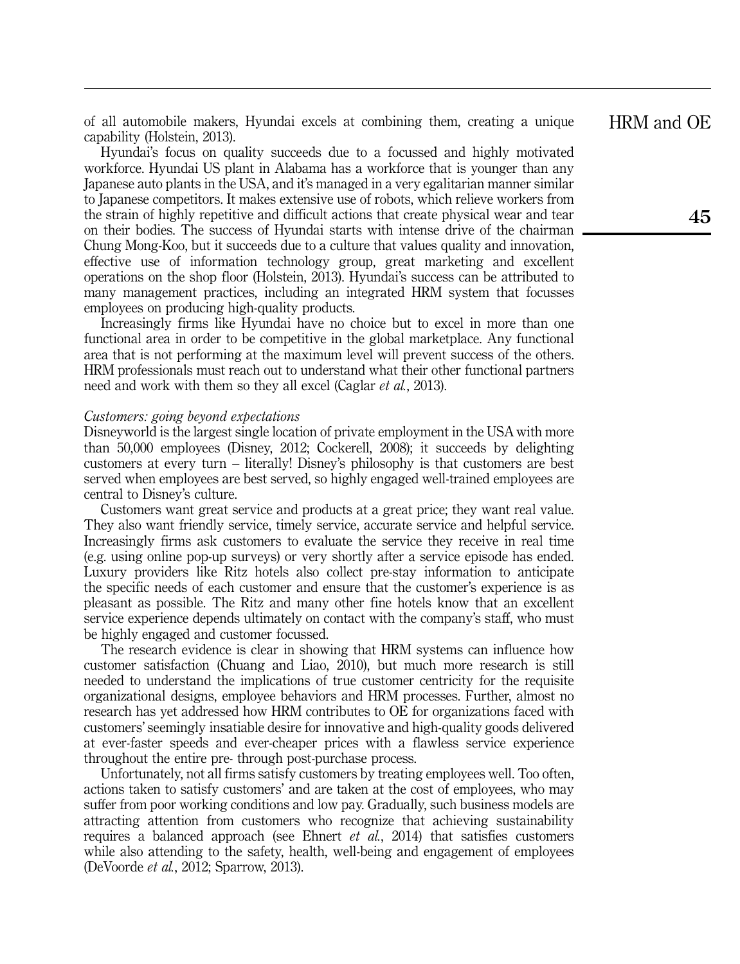of all automobile makers, Hyundai excels at combining them, creating a unique capability (Holstein, 2013).

Hyundai's focus on quality succeeds due to a focussed and highly motivated workforce. Hyundai US plant in Alabama has a workforce that is younger than any Japanese auto plants in the USA, and it's managed in a very egalitarian manner similar to Japanese competitors. It makes extensive use of robots, which relieve workers from the strain of highly repetitive and difficult actions that create physical wear and tear on their bodies. The success of Hyundai starts with intense drive of the chairman Chung Mong-Koo, but it succeeds due to a culture that values quality and innovation, effective use of information technology group, great marketing and excellent operations on the shop floor (Holstein, 2013). Hyundai's success can be attributed to many management practices, including an integrated HRM system that focusses employees on producing high-quality products.

Increasingly firms like Hyundai have no choice but to excel in more than one functional area in order to be competitive in the global marketplace. Any functional area that is not performing at the maximum level will prevent success of the others. HRM professionals must reach out to understand what their other functional partners need and work with them so they all excel (Caglar *et al.*, 2013).

#### Customers: going beyond expectations

Disneyworld is the largest single location of private employment in the USA with more than 50,000 employees (Disney, 2012; Cockerell, 2008); it succeeds by delighting customers at every turn – literally! Disney's philosophy is that customers are best served when employees are best served, so highly engaged well-trained employees are central to Disney's culture.

Customers want great service and products at a great price; they want real value. They also want friendly service, timely service, accurate service and helpful service. Increasingly firms ask customers to evaluate the service they receive in real time (e.g. using online pop-up surveys) or very shortly after a service episode has ended. Luxury providers like Ritz hotels also collect pre-stay information to anticipate the specific needs of each customer and ensure that the customer's experience is as pleasant as possible. The Ritz and many other fine hotels know that an excellent service experience depends ultimately on contact with the company's staff, who must be highly engaged and customer focussed.

The research evidence is clear in showing that HRM systems can influence how customer satisfaction (Chuang and Liao, 2010), but much more research is still needed to understand the implications of true customer centricity for the requisite organizational designs, employee behaviors and HRM processes. Further, almost no research has yet addressed how HRM contributes to OE for organizations faced with customers' seemingly insatiable desire for innovative and high-quality goods delivered at ever-faster speeds and ever-cheaper prices with a flawless service experience throughout the entire pre- through post-purchase process.

Unfortunately, not all firms satisfy customers by treating employees well. Too often, actions taken to satisfy customers' and are taken at the cost of employees, who may suffer from poor working conditions and low pay. Gradually, such business models are attracting attention from customers who recognize that achieving sustainability requires a balanced approach (see Ehnert *et al.*, 2014) that satisfies customers while also attending to the safety, health, well-being and engagement of employees (DeVoorde et al., 2012; Sparrow, 2013).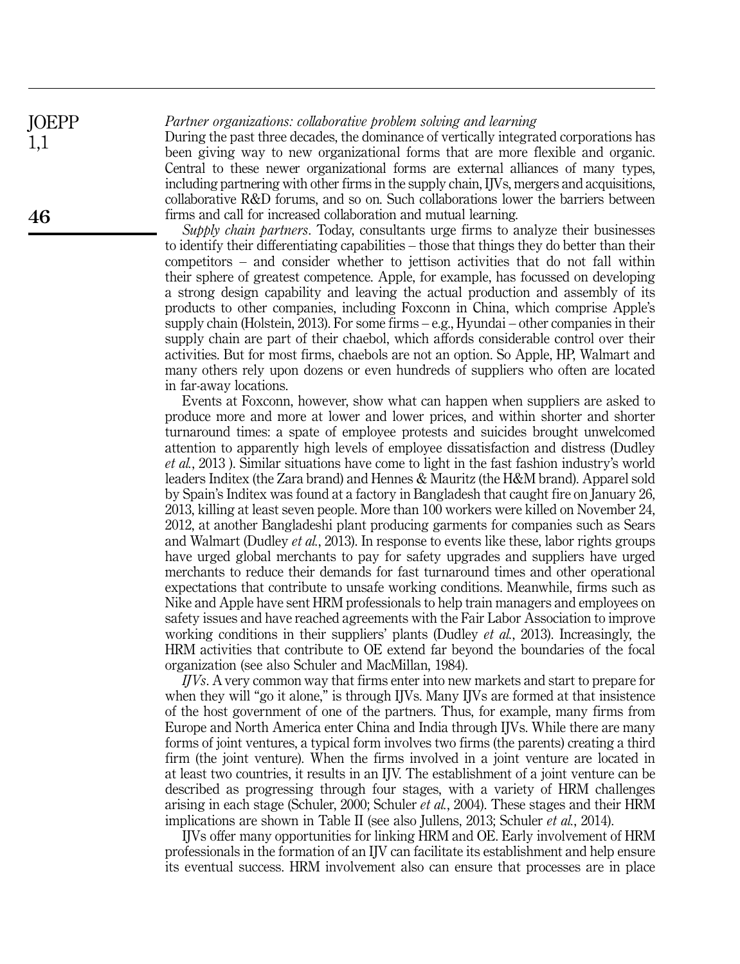Partner organizations: collaborative problem solving and learning

During the past three decades, the dominance of vertically integrated corporations has been giving way to new organizational forms that are more flexible and organic. Central to these newer organizational forms are external alliances of many types, including partnering with other firms in the supply chain, IJVs, mergers and acquisitions, collaborative R&D forums, and so on. Such collaborations lower the barriers between firms and call for increased collaboration and mutual learning.

Supply chain partners. Today, consultants urge firms to analyze their businesses to identify their differentiating capabilities – those that things they do better than their competitors – and consider whether to jettison activities that do not fall within their sphere of greatest competence. Apple, for example, has focussed on developing a strong design capability and leaving the actual production and assembly of its products to other companies, including Foxconn in China, which comprise Apple's supply chain (Holstein, 2013). For some firms – e.g., Hyundai – other companies in their supply chain are part of their chaebol, which affords considerable control over their activities. But for most firms, chaebols are not an option. So Apple, HP, Walmart and many others rely upon dozens or even hundreds of suppliers who often are located in far-away locations.

Events at Foxconn, however, show what can happen when suppliers are asked to produce more and more at lower and lower prices, and within shorter and shorter turnaround times: a spate of employee protests and suicides brought unwelcomed attention to apparently high levels of employee dissatisfaction and distress (Dudley et al., 2013 ). Similar situations have come to light in the fast fashion industry's world leaders Inditex (the Zara brand) and Hennes & Mauritz (the H&M brand). Apparel sold by Spain's Inditex was found at a factory in Bangladesh that caught fire on January 26, 2013, killing at least seven people. More than 100 workers were killed on November 24, 2012, at another Bangladeshi plant producing garments for companies such as Sears and Walmart (Dudley et al., 2013). In response to events like these, labor rights groups have urged global merchants to pay for safety upgrades and suppliers have urged merchants to reduce their demands for fast turnaround times and other operational expectations that contribute to unsafe working conditions. Meanwhile, firms such as Nike and Apple have sent HRM professionals to help train managers and employees on safety issues and have reached agreements with the Fair Labor Association to improve working conditions in their suppliers' plants (Dudley *et al.*, 2013). Increasingly, the HRM activities that contribute to OE extend far beyond the boundaries of the focal organization (see also Schuler and MacMillan, 1984).

IJVs. A very common way that firms enter into new markets and start to prepare for when they will "go it alone," is through IJVs. Many IJVs are formed at that insistence of the host government of one of the partners. Thus, for example, many firms from Europe and North America enter China and India through IJVs. While there are many forms of joint ventures, a typical form involves two firms (the parents) creating a third firm (the joint venture). When the firms involved in a joint venture are located in at least two countries, it results in an IJV. The establishment of a joint venture can be described as progressing through four stages, with a variety of HRM challenges arising in each stage (Schuler, 2000; Schuler et al., 2004). These stages and their HRM implications are shown in Table II (see also Jullens, 2013; Schuler *et al.*, 2014).

IJVs offer many opportunities for linking HRM and OE. Early involvement of HRM professionals in the formation of an IJV can facilitate its establishment and help ensure its eventual success. HRM involvement also can ensure that processes are in place

46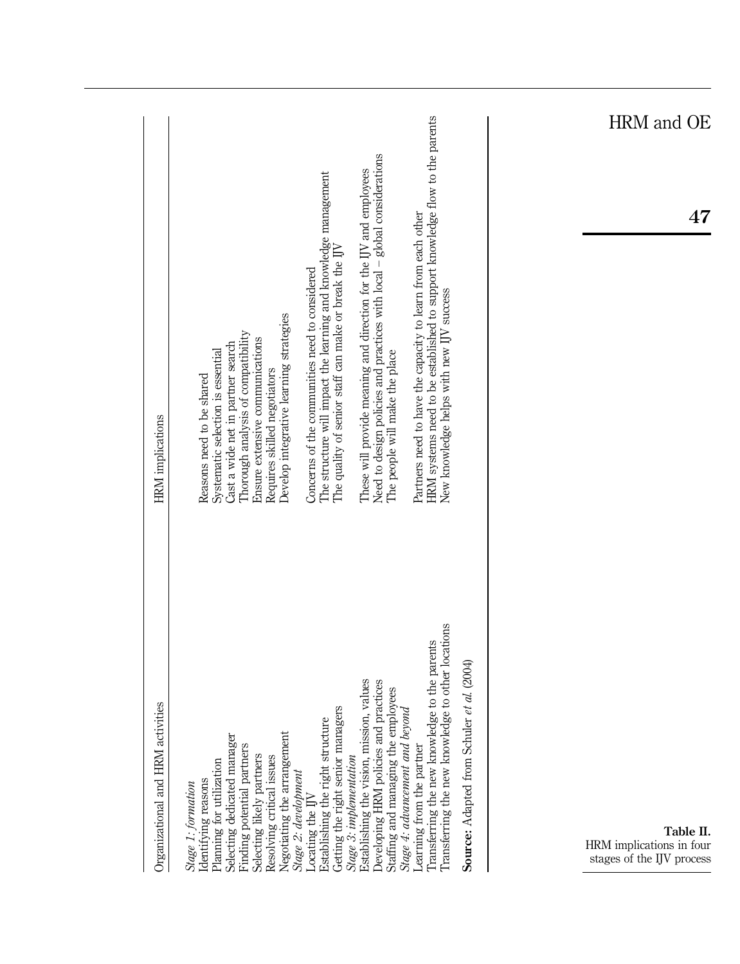| activities<br>Organizational and HRM                                                                                                                                                                                                                                                                                                                                                                                                                                    | <b>HRM</b> implications                                                                                                                                                                                                                                                                                                                                                                                                                                                                                                                                                                 |
|-------------------------------------------------------------------------------------------------------------------------------------------------------------------------------------------------------------------------------------------------------------------------------------------------------------------------------------------------------------------------------------------------------------------------------------------------------------------------|-----------------------------------------------------------------------------------------------------------------------------------------------------------------------------------------------------------------------------------------------------------------------------------------------------------------------------------------------------------------------------------------------------------------------------------------------------------------------------------------------------------------------------------------------------------------------------------------|
| ssion, values<br>Developing HRM policies and practices<br>Getting the right senior managers<br>Stage 3: implementation<br>Establishing the right structure<br>Negotiating the arrangement<br>৳<br>Selecting dedicated manag<br>Finding potential partners<br>Establishing the vision, mi<br>Selecting likely partners<br>Resolving critical issues<br>Planning for utilization<br>Stage 2: development<br>Identifying reasons<br>Stage 1: formation<br>Locating the IJV | Need to design policies and practices with local - global considerations<br>These will provide meaning and direction for the IJV and employees<br>The structure will impact the learning and knowledge management<br>The quality of senior staff can make or break the IJV<br>Concerns of the communities need to considered<br>Develop integrative learning strategies<br>Thorough analysis of compatibility<br>Ensure extensive communications<br>Cast a wide net in partner search<br>Systematic selection is essential<br>Requires skilled negotiators<br>Reasons need to be shared |
| Transferring the new knowledge to other locations<br>Transferring the new knowledge to the parents<br>Staffing and managing the employees<br>peyond<br>Stage 4: advancement and<br>Learning from the partner                                                                                                                                                                                                                                                            | HRM systems need to be established to support knowledge flow to the parents<br>Partners need to have the capacity to learn from each other<br>New knowledge helps with new IJV success<br>The people will make the place                                                                                                                                                                                                                                                                                                                                                                |
| nuler et al. (2004)<br>Source: Adapted from Scl<br>Table II.<br>HRM implications in four<br>stages of the IJV process                                                                                                                                                                                                                                                                                                                                                   | HRM and OE                                                                                                                                                                                                                                                                                                                                                                                                                                                                                                                                                                              |
|                                                                                                                                                                                                                                                                                                                                                                                                                                                                         | 47                                                                                                                                                                                                                                                                                                                                                                                                                                                                                                                                                                                      |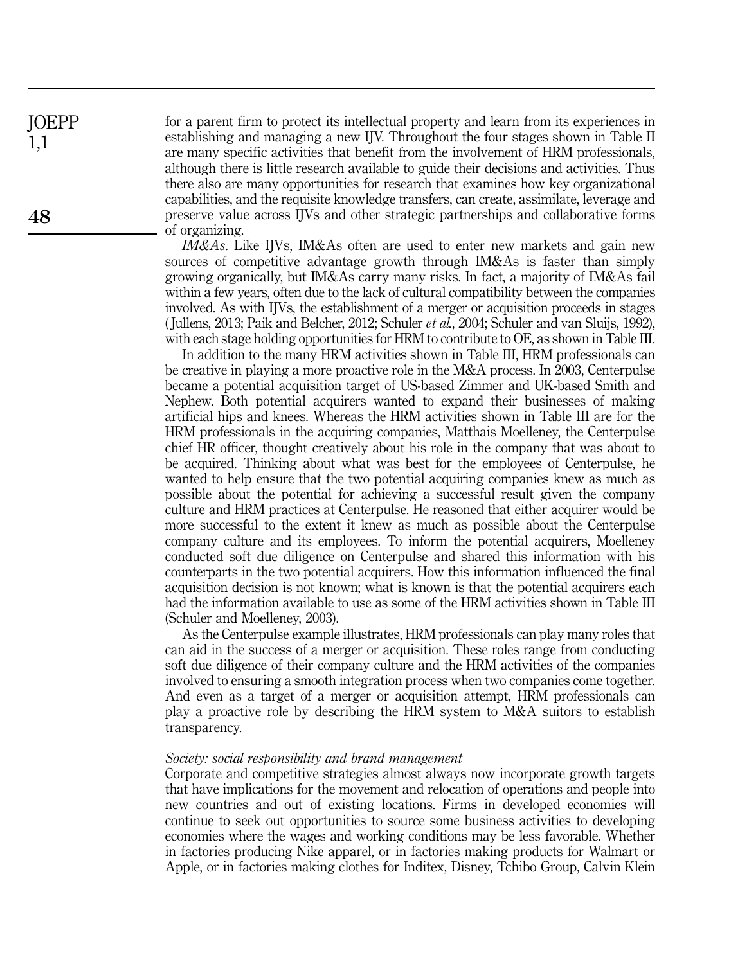for a parent firm to protect its intellectual property and learn from its experiences in establishing and managing a new IJV. Throughout the four stages shown in Table II are many specific activities that benefit from the involvement of HRM professionals, although there is little research available to guide their decisions and activities. Thus there also are many opportunities for research that examines how key organizational capabilities, and the requisite knowledge transfers, can create, assimilate, leverage and preserve value across IJVs and other strategic partnerships and collaborative forms of organizing.

IM&As. Like IJVs, IM&As often are used to enter new markets and gain new sources of competitive advantage growth through IM&As is faster than simply growing organically, but IM&As carry many risks. In fact, a majority of IM&As fail within a few years, often due to the lack of cultural compatibility between the companies involved. As with IJVs, the establishment of a merger or acquisition proceeds in stages ( Jullens, 2013; Paik and Belcher, 2012; Schuler et al., 2004; Schuler and van Sluijs, 1992), with each stage holding opportunities for HRM to contribute to OE, as shown in Table III.

In addition to the many HRM activities shown in Table III, HRM professionals can be creative in playing a more proactive role in the M&A process. In 2003, Centerpulse became a potential acquisition target of US-based Zimmer and UK-based Smith and Nephew. Both potential acquirers wanted to expand their businesses of making artificial hips and knees. Whereas the HRM activities shown in Table III are for the HRM professionals in the acquiring companies, Matthais Moelleney, the Centerpulse chief HR officer, thought creatively about his role in the company that was about to be acquired. Thinking about what was best for the employees of Centerpulse, he wanted to help ensure that the two potential acquiring companies knew as much as possible about the potential for achieving a successful result given the company culture and HRM practices at Centerpulse. He reasoned that either acquirer would be more successful to the extent it knew as much as possible about the Centerpulse company culture and its employees. To inform the potential acquirers, Moelleney conducted soft due diligence on Centerpulse and shared this information with his counterparts in the two potential acquirers. How this information influenced the final acquisition decision is not known; what is known is that the potential acquirers each had the information available to use as some of the HRM activities shown in Table III (Schuler and Moelleney, 2003).

As the Centerpulse example illustrates, HRM professionals can play many roles that can aid in the success of a merger or acquisition. These roles range from conducting soft due diligence of their company culture and the HRM activities of the companies involved to ensuring a smooth integration process when two companies come together. And even as a target of a merger or acquisition attempt, HRM professionals can play a proactive role by describing the HRM system to M&A suitors to establish transparency.

# Society: social responsibility and brand management

Corporate and competitive strategies almost always now incorporate growth targets that have implications for the movement and relocation of operations and people into new countries and out of existing locations. Firms in developed economies will continue to seek out opportunities to source some business activities to developing economies where the wages and working conditions may be less favorable. Whether in factories producing Nike apparel, or in factories making products for Walmart or Apple, or in factories making clothes for Inditex, Disney, Tchibo Group, Calvin Klein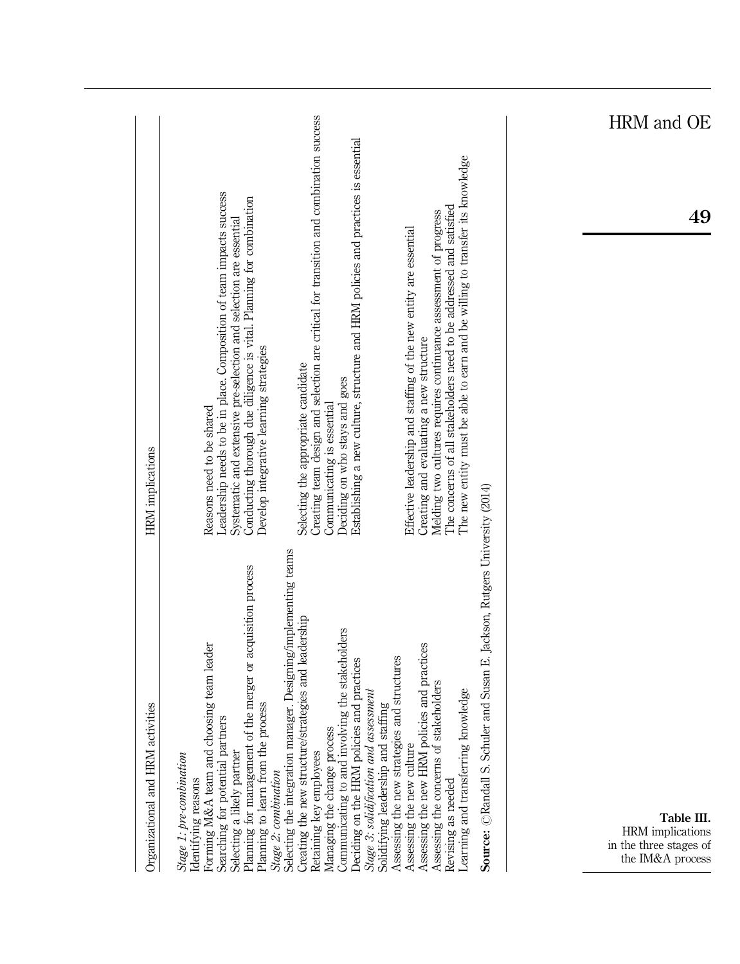| Organizational and HRM activities                                                                                                                                                                                                                                                                                                                         | <b>HRM</b> implications                                                                                                                                                                                                                                                                                                                 |
|-----------------------------------------------------------------------------------------------------------------------------------------------------------------------------------------------------------------------------------------------------------------------------------------------------------------------------------------------------------|-----------------------------------------------------------------------------------------------------------------------------------------------------------------------------------------------------------------------------------------------------------------------------------------------------------------------------------------|
| Planning for management of the merger or acquisition process<br>Forming M&A team and choosing team leader<br>process<br>Searching for potential partners<br>Planning to learn from the<br>Selecting a likely partner<br>Stage 1: pre-combination<br>Identifying reasons                                                                                   | Leadership needs to be in place. Composition of team impacts success<br>Conducting thorough due diligence is vital. Planning for combination<br>Systematic and extensive pre-selection and selection are essential<br>Develop integrative learning strategies<br>Reasons need to be shared                                              |
| unager. Designing/implementing teams<br>Creating the new structure/strategies and leadership<br>Communicating to and involving the stakeholders<br>Deciding on the HRM policies and practices<br>Stage 3: solidification and assessment<br>Managing the change process<br>Stage 2: combination<br>Selecting the integration ma<br>Retaining key employees | Creating team design and selection are critical for transition and combination success<br>Establishing a new culture, structure and HRM policies and practices is essential<br>Selecting the appropriate candidate<br>Deciding on who stays and goes<br>Communicating is essential                                                      |
| Assessing the new HRM policies and practices<br>Assessing the new strategies and structures<br>Assessing the concerns of stakeholders<br>earning and transferring knowledge<br>Solidifying leadership and staffing<br>Assessing the new culture<br>Revising as needed                                                                                     | The new entity must be able to earn and be willing to transfer its knowledge<br>The concerns of all stakeholders need to be addressed and satisfied<br>Melding two cultures requires continuance assessment of progress<br>Effective leadership and staffing of the new entity are essential<br>Creating and evaluating a new structure |
| ler and Susan E. Jackson, Rutgers University (2014)<br>Schul<br>Source: ©Randall S.                                                                                                                                                                                                                                                                       |                                                                                                                                                                                                                                                                                                                                         |
|                                                                                                                                                                                                                                                                                                                                                           |                                                                                                                                                                                                                                                                                                                                         |
| Table III.<br>HRM implications<br>in the three stages of<br>the IM&A process                                                                                                                                                                                                                                                                              | HRM and OE                                                                                                                                                                                                                                                                                                                              |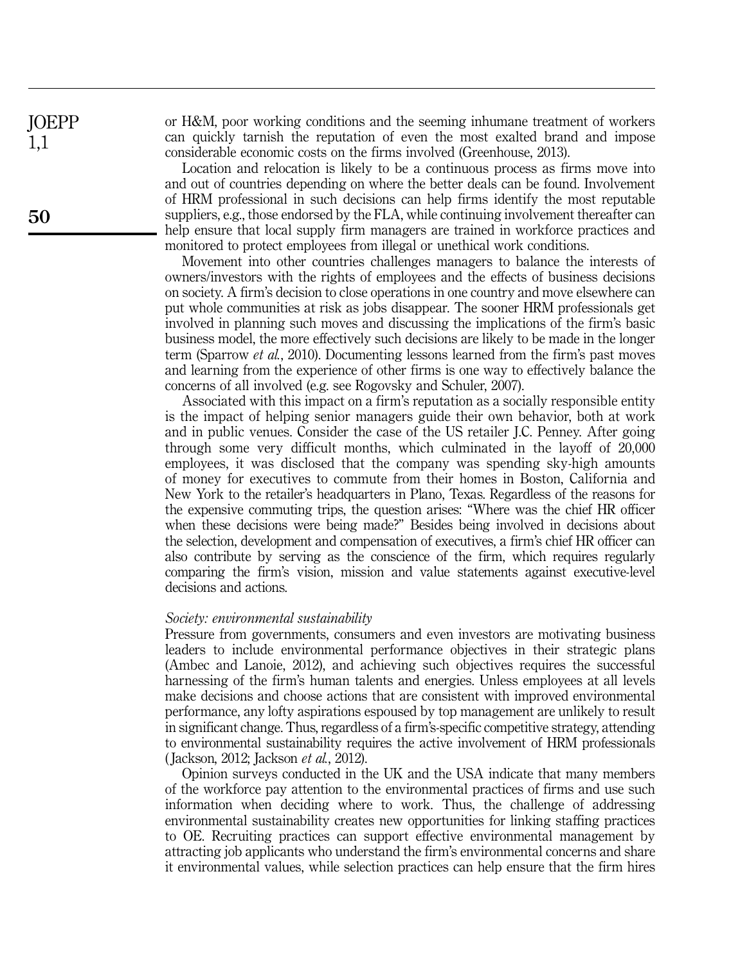or H&M, poor working conditions and the seeming inhumane treatment of workers can quickly tarnish the reputation of even the most exalted brand and impose considerable economic costs on the firms involved (Greenhouse, 2013).

Location and relocation is likely to be a continuous process as firms move into and out of countries depending on where the better deals can be found. Involvement of HRM professional in such decisions can help firms identify the most reputable suppliers, e.g., those endorsed by the FLA, while continuing involvement thereafter can help ensure that local supply firm managers are trained in workforce practices and monitored to protect employees from illegal or unethical work conditions.

Movement into other countries challenges managers to balance the interests of owners/investors with the rights of employees and the effects of business decisions on society. A firm's decision to close operations in one country and move elsewhere can put whole communities at risk as jobs disappear. The sooner HRM professionals get involved in planning such moves and discussing the implications of the firm's basic business model, the more effectively such decisions are likely to be made in the longer term (Sparrow et al., 2010). Documenting lessons learned from the firm's past moves and learning from the experience of other firms is one way to effectively balance the concerns of all involved (e.g. see Rogovsky and Schuler, 2007).

Associated with this impact on a firm's reputation as a socially responsible entity is the impact of helping senior managers guide their own behavior, both at work and in public venues. Consider the case of the US retailer J.C. Penney. After going through some very difficult months, which culminated in the layoff of 20,000 employees, it was disclosed that the company was spending sky-high amounts of money for executives to commute from their homes in Boston, California and New York to the retailer's headquarters in Plano, Texas. Regardless of the reasons for the expensive commuting trips, the question arises: "Where was the chief HR officer when these decisions were being made?" Besides being involved in decisions about the selection, development and compensation of executives, a firm's chief HR officer can also contribute by serving as the conscience of the firm, which requires regularly comparing the firm's vision, mission and value statements against executive-level decisions and actions.

#### Society: environmental sustainability

Pressure from governments, consumers and even investors are motivating business leaders to include environmental performance objectives in their strategic plans (Ambec and Lanoie, 2012), and achieving such objectives requires the successful harnessing of the firm's human talents and energies. Unless employees at all levels make decisions and choose actions that are consistent with improved environmental performance, any lofty aspirations espoused by top management are unlikely to result in significant change. Thus, regardless of a firm's-specific competitive strategy, attending to environmental sustainability requires the active involvement of HRM professionals ( Jackson, 2012; Jackson et al., 2012).

Opinion surveys conducted in the UK and the USA indicate that many members of the workforce pay attention to the environmental practices of firms and use such information when deciding where to work. Thus, the challenge of addressing environmental sustainability creates new opportunities for linking staffing practices to OE. Recruiting practices can support effective environmental management by attracting job applicants who understand the firm's environmental concerns and share it environmental values, while selection practices can help ensure that the firm hires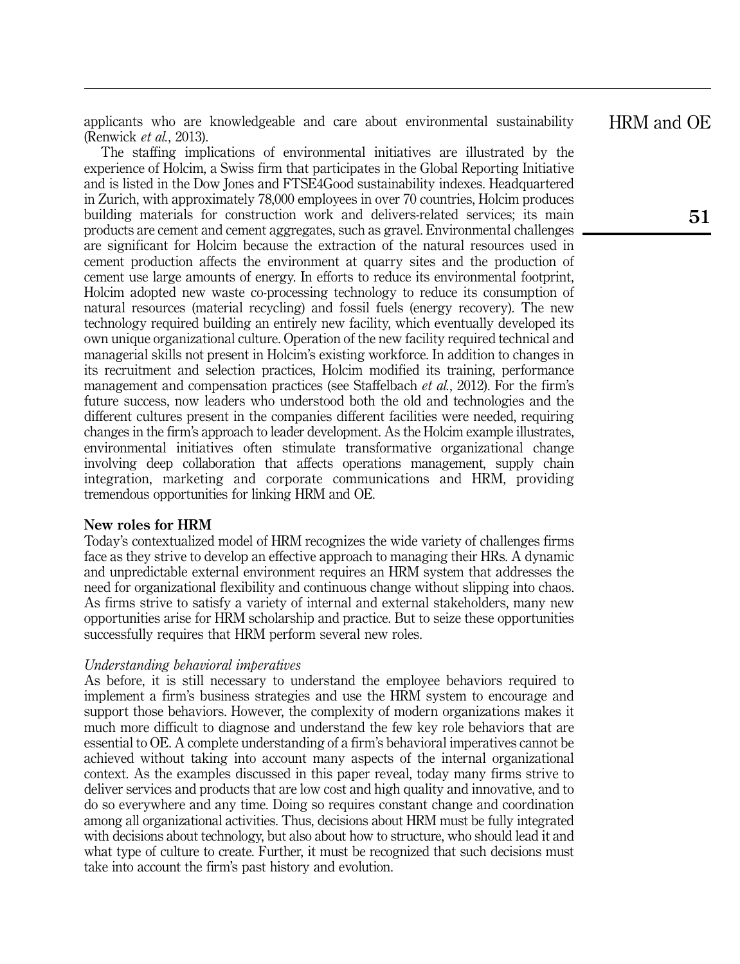applicants who are knowledgeable and care about environmental sustainability (Renwick et al., 2013).

The staffing implications of environmental initiatives are illustrated by the experience of Holcim, a Swiss firm that participates in the Global Reporting Initiative and is listed in the Dow Jones and FTSE4Good sustainability indexes. Headquartered in Zurich, with approximately 78,000 employees in over 70 countries, Holcim produces building materials for construction work and delivers-related services; its main products are cement and cement aggregates, such as gravel. Environmental challenges are significant for Holcim because the extraction of the natural resources used in cement production affects the environment at quarry sites and the production of cement use large amounts of energy. In efforts to reduce its environmental footprint, Holcim adopted new waste co-processing technology to reduce its consumption of natural resources (material recycling) and fossil fuels (energy recovery). The new technology required building an entirely new facility, which eventually developed its own unique organizational culture. Operation of the new facility required technical and managerial skills not present in Holcim's existing workforce. In addition to changes in its recruitment and selection practices, Holcim modified its training, performance management and compensation practices (see Staffelbach et al., 2012). For the firm's future success, now leaders who understood both the old and technologies and the different cultures present in the companies different facilities were needed, requiring changes in the firm's approach to leader development. As the Holcim example illustrates, environmental initiatives often stimulate transformative organizational change involving deep collaboration that affects operations management, supply chain integration, marketing and corporate communications and HRM, providing tremendous opportunities for linking HRM and OE.

# New roles for HRM

Today's contextualized model of HRM recognizes the wide variety of challenges firms face as they strive to develop an effective approach to managing their HRs. A dynamic and unpredictable external environment requires an HRM system that addresses the need for organizational flexibility and continuous change without slipping into chaos. As firms strive to satisfy a variety of internal and external stakeholders, many new opportunities arise for HRM scholarship and practice. But to seize these opportunities successfully requires that HRM perform several new roles.

### Understanding behavioral imperatives

As before, it is still necessary to understand the employee behaviors required to implement a firm's business strategies and use the HRM system to encourage and support those behaviors. However, the complexity of modern organizations makes it much more difficult to diagnose and understand the few key role behaviors that are essential to OE. A complete understanding of a firm's behavioral imperatives cannot be achieved without taking into account many aspects of the internal organizational context. As the examples discussed in this paper reveal, today many firms strive to deliver services and products that are low cost and high quality and innovative, and to do so everywhere and any time. Doing so requires constant change and coordination among all organizational activities. Thus, decisions about HRM must be fully integrated with decisions about technology, but also about how to structure, who should lead it and what type of culture to create. Further, it must be recognized that such decisions must take into account the firm's past history and evolution.

51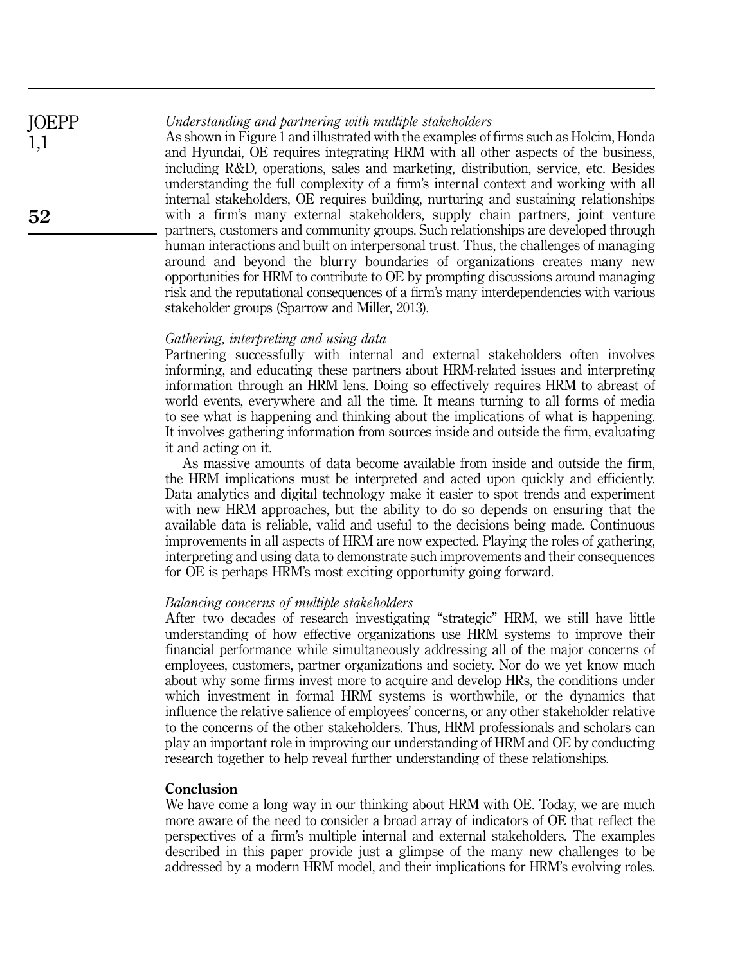Understanding and partnering with multiple stakeholders

1,1

**JOEPP** 

52

As shown in Figure 1 and illustrated with the examples of firms such as Holcim, Honda and Hyundai, OE requires integrating HRM with all other aspects of the business, including R&D, operations, sales and marketing, distribution, service, etc. Besides understanding the full complexity of a firm's internal context and working with all internal stakeholders, OE requires building, nurturing and sustaining relationships with a firm's many external stakeholders, supply chain partners, joint venture partners, customers and community groups. Such relationships are developed through human interactions and built on interpersonal trust. Thus, the challenges of managing around and beyond the blurry boundaries of organizations creates many new opportunities for HRM to contribute to OE by prompting discussions around managing risk and the reputational consequences of a firm's many interdependencies with various stakeholder groups (Sparrow and Miller, 2013).

# Gathering, interpreting and using data

Partnering successfully with internal and external stakeholders often involves informing, and educating these partners about HRM-related issues and interpreting information through an HRM lens. Doing so effectively requires HRM to abreast of world events, everywhere and all the time. It means turning to all forms of media to see what is happening and thinking about the implications of what is happening. It involves gathering information from sources inside and outside the firm, evaluating it and acting on it.

As massive amounts of data become available from inside and outside the firm, the HRM implications must be interpreted and acted upon quickly and efficiently. Data analytics and digital technology make it easier to spot trends and experiment with new HRM approaches, but the ability to do so depends on ensuring that the available data is reliable, valid and useful to the decisions being made. Continuous improvements in all aspects of HRM are now expected. Playing the roles of gathering, interpreting and using data to demonstrate such improvements and their consequences for OE is perhaps HRM's most exciting opportunity going forward.

# Balancing concerns of multiple stakeholders

After two decades of research investigating "strategic" HRM, we still have little understanding of how effective organizations use HRM systems to improve their financial performance while simultaneously addressing all of the major concerns of employees, customers, partner organizations and society. Nor do we yet know much about why some firms invest more to acquire and develop HRs, the conditions under which investment in formal HRM systems is worthwhile, or the dynamics that influence the relative salience of employees' concerns, or any other stakeholder relative to the concerns of the other stakeholders. Thus, HRM professionals and scholars can play an important role in improving our understanding of HRM and OE by conducting research together to help reveal further understanding of these relationships.

# Conclusion

We have come a long way in our thinking about HRM with OE. Today, we are much more aware of the need to consider a broad array of indicators of OE that reflect the perspectives of a firm's multiple internal and external stakeholders. The examples described in this paper provide just a glimpse of the many new challenges to be addressed by a modern HRM model, and their implications for HRM's evolving roles.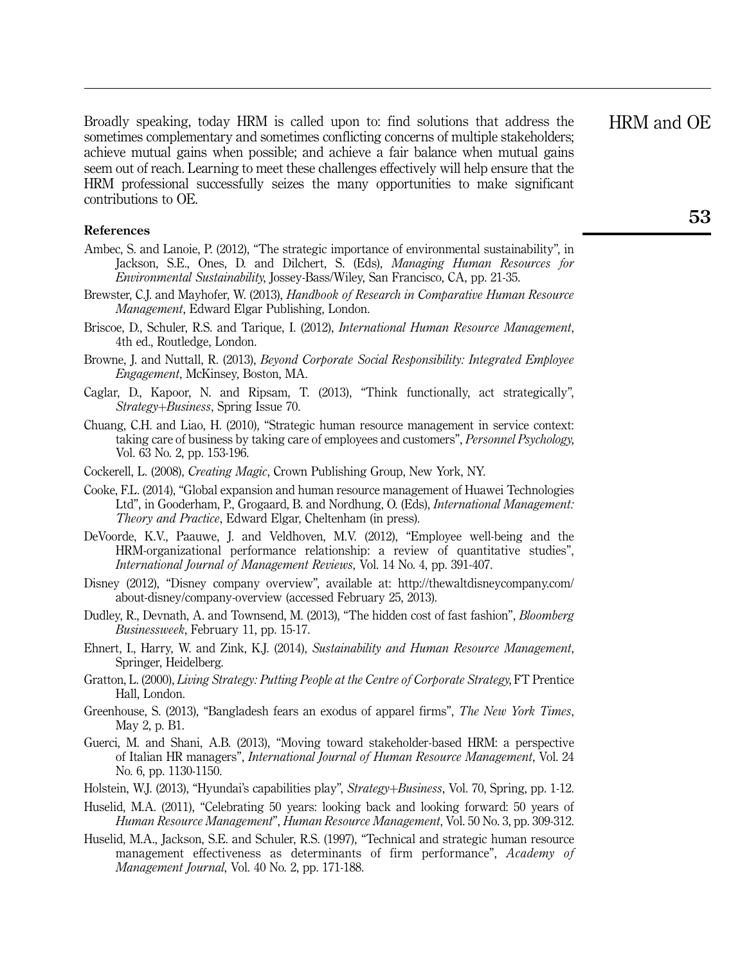Broadly speaking, today HRM is called upon to: find solutions that address the sometimes complementary and sometimes conflicting concerns of multiple stakeholders; achieve mutual gains when possible; and achieve a fair balance when mutual gains seem out of reach. Learning to meet these challenges effectively will help ensure that the HRM professional successfully seizes the many opportunities to make significant contributions to OE.

# References

- Ambec, S. and Lanoie, P. (2012), "The strategic importance of environmental sustainability", in Jackson, S.E., Ones, D. and Dilchert, S. (Eds), Managing Human Resources for Environmental Sustainability, Jossey-Bass/Wiley, San Francisco, CA, pp. 21-35.
- Brewster, C.J. and Mayhofer, W. (2013), Handbook of Research in Comparative Human Resource Management, Edward Elgar Publishing, London.
- Briscoe, D., Schuler, R.S. and Tarique, I. (2012), International Human Resource Management, 4th ed., Routledge, London.
- Browne, J. and Nuttall, R. (2013), *Beyond Corporate Social Responsibility: Integrated Employee* Engagement, McKinsey, Boston, MA.
- Caglar, D., Kapoor, N. and Ripsam, T. (2013), "Think functionally, act strategically", Strategy+Business, Spring Issue 70.
- Chuang, C.H. and Liao, H. (2010), "Strategic human resource management in service context: taking care of business by taking care of employees and customers", Personnel Psychology, Vol. 63 No. 2, pp. 153-196.
- Cockerell, L. (2008), Creating Magic, Crown Publishing Group, New York, NY.
- Cooke, F.L. (2014), "Global expansion and human resource management of Huawei Technologies Ltd", in Gooderham, P., Grogaard, B. and Nordhung, O. (Eds), International Management: Theory and Practice, Edward Elgar, Cheltenham (in press).
- DeVoorde, K.V., Paauwe, J. and Veldhoven, M.V. (2012), "Employee well-being and the HRM-organizational performance relationship: a review of quantitative studies", International Journal of Management Reviews, Vol. 14 No. 4, pp. 391-407.
- Disney (2012), "Disney company overview", available at: http://thewaltdisneycompany.com/ about-disney/company-overview (accessed February 25, 2013).
- Dudley, R., Devnath, A. and Townsend, M. (2013), "The hidden cost of fast fashion", Bloomberg Businessweek, February 11, pp. 15-17.
- Ehnert, I., Harry, W. and Zink, K.J. (2014), Sustainability and Human Resource Management, Springer, Heidelberg.
- Gratton, L. (2000), Living Strategy: Putting People at the Centre of Corporate Strategy, FT Prentice Hall, London.
- Greenhouse, S. (2013), "Bangladesh fears an exodus of apparel firms", The New York Times, May 2, p. B1.
- Guerci, M. and Shani, A.B. (2013), "Moving toward stakeholder-based HRM: a perspective of Italian HR managers", International Journal of Human Resource Management, Vol. 24 No. 6, pp. 1130-1150.
- Holstein, W.J. (2013), "Hyundai's capabilities play", Strategy+Business, Vol. 70, Spring, pp. 1-12.
- Huselid, M.A. (2011), "Celebrating 50 years: looking back and looking forward: 50 years of Human Resource Management", Human Resource Management, Vol. 50 No. 3, pp. 309-312.
- Huselid, M.A., Jackson, S.E. and Schuler, R.S. (1997), "Technical and strategic human resource management effectiveness as determinants of firm performance", Academy of Management Journal, Vol. 40 No. 2, pp. 171-188.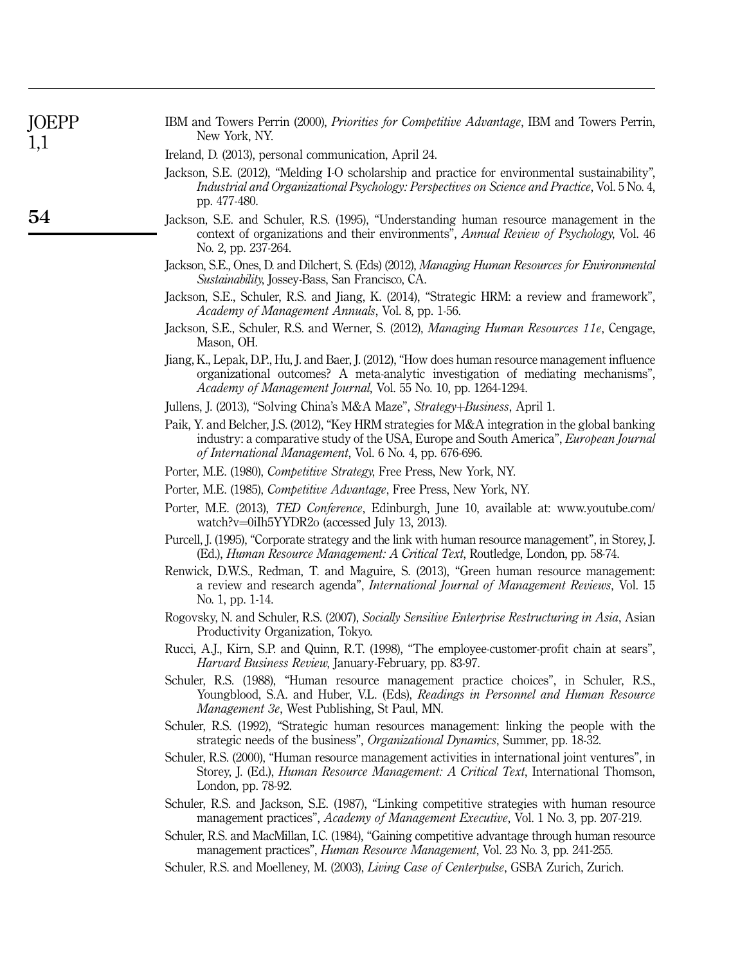| JOEPP | IBM and Towers Perrin (2000), <i>Priorities for Competitive Advantage</i> , IBM and Towers Perrin,<br>New York, NY.                                                                                                                                    |
|-------|--------------------------------------------------------------------------------------------------------------------------------------------------------------------------------------------------------------------------------------------------------|
| 1,1   | Ireland, D. (2013), personal communication, April 24.                                                                                                                                                                                                  |
|       | Jackson, S.E. (2012), "Melding I-O scholarship and practice for environmental sustainability",<br>Industrial and Organizational Psychology: Perspectives on Science and Practice, Vol. 5 No. 4,<br>pp. 477-480.                                        |
| 54    | Jackson, S.E. and Schuler, R.S. (1995), "Understanding human resource management in the<br>context of organizations and their environments", Annual Review of Psychology, Vol. 46<br>No. 2, pp. 237-264.                                               |
|       | Jackson, S.E., Ones, D. and Dilchert, S. (Eds) (2012), Managing Human Resources for Environmental<br><i>Sustainability</i> , Jossey-Bass, San Francisco, CA.                                                                                           |
|       | Jackson, S.E., Schuler, R.S. and Jiang, K. (2014), "Strategic HRM: a review and framework",<br>Academy of Management Annuals, Vol. 8, pp. 1-56.                                                                                                        |
|       | Jackson, S.E., Schuler, R.S. and Werner, S. (2012), Managing Human Resources 11e, Cengage,<br>Mason, OH.                                                                                                                                               |
|       | Jiang, K., Lepak, D.P., Hu, J. and Baer, J. (2012), "How does human resource management influence<br>organizational outcomes? A meta-analytic investigation of mediating mechanisms",<br>Academy of Management Journal, Vol. 55 No. 10, pp. 1264-1294. |
|       | Jullens, J. (2013), "Solving China's M&A Maze", Strategy+Business, April 1.                                                                                                                                                                            |
|       | Paik, Y. and Belcher, J.S. (2012), "Key HRM strategies for M&A integration in the global banking<br>industry: a comparative study of the USA, Europe and South America", European Journal<br>of International Management, Vol. 6 No. 4, pp. 676-696.   |
|       | Porter, M.E. (1980), <i>Competitive Strategy</i> , Free Press, New York, NY.                                                                                                                                                                           |
|       | Porter, M.E. (1985), <i>Competitive Advantage</i> , Free Press, New York, NY.                                                                                                                                                                          |
|       | Porter, M.E. (2013), TED Conference, Edinburgh, June 10, available at: www.youtube.com/<br>watch?v=0iIh5YYDR2o (accessed July 13, 2013).                                                                                                               |
|       | Purcell, J. (1995), "Corporate strategy and the link with human resource management", in Storey, J.<br>(Ed.), Human Resource Management: A Critical Text, Routledge, London, pp. 58-74.                                                                |
|       | Renwick, D.W.S., Redman, T. and Maguire, S. (2013), "Green human resource management:<br>a review and research agenda", International Journal of Management Reviews, Vol. 15<br>No. 1, pp. 1-14.                                                       |
|       | Rogovsky, N. and Schuler, R.S. (2007), Socially Sensitive Enterprise Restructuring in Asia, Asian<br>Productivity Organization, Tokyo.                                                                                                                 |
|       | Rucci, A.J., Kirn, S.P. and Quinn, R.T. (1998), "The employee-customer-profit chain at sears",<br><i>Harvard Business Review</i> , January-February, pp. 83-97.                                                                                        |
|       | Schuler, R.S. (1988), "Human resource management practice choices", in Schuler, R.S.,<br>Youngblood, S.A. and Huber, V.L. (Eds), Readings in Personnel and Human Resource<br>Management 3e, West Publishing, St Paul, MN.                              |
|       | Schuler, R.S. (1992), "Strategic human resources management: linking the people with the<br>strategic needs of the business", Organizational Dynamics, Summer, pp. 18-32.                                                                              |
|       | Schuler, R.S. (2000), "Human resource management activities in international joint ventures", in<br>Storey, J. (Ed.), Human Resource Management: A Critical Text, International Thomson,<br>London, pp. 78-92.                                         |
|       | Schuler, R.S. and Jackson, S.E. (1987), "Linking competitive strategies with human resource<br>management practices", Academy of Management Executive, Vol. 1 No. 3, pp. 207-219.                                                                      |
|       | Schuler, R.S. and MacMillan, I.C. (1984), "Gaining competitive advantage through human resource<br>management practices", Human Resource Management, Vol. 23 No. 3, pp. 241-255.                                                                       |
|       | Schuler, R.S. and Moelleney, M. (2003), Living Case of Centerpulse, GSBA Zurich, Zurich.                                                                                                                                                               |